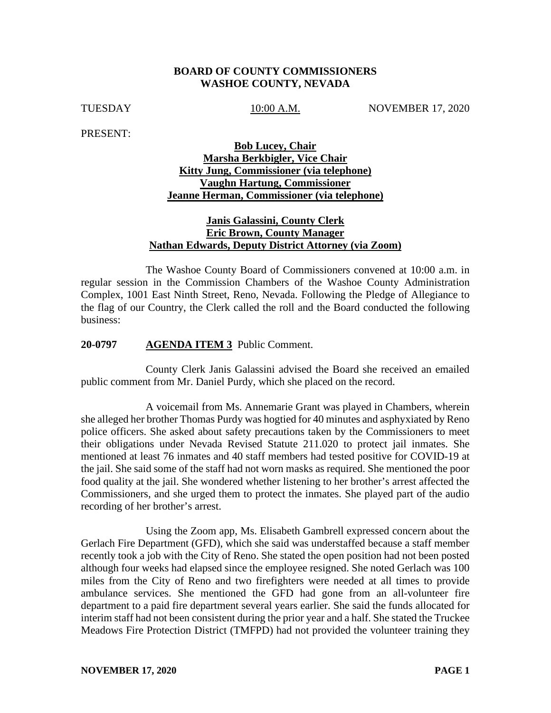#### **BOARD OF COUNTY COMMISSIONERS WASHOE COUNTY, NEVADA**

TUESDAY 10:00 A.M. NOVEMBER 17, 2020

PRESENT:

# **Bob Lucey, Chair Marsha Berkbigler, Vice Chair Kitty Jung, Commissioner (via telephone) Vaughn Hartung, Commissioner Jeanne Herman, Commissioner (via telephone)**

### **Janis Galassini, County Clerk Eric Brown, County Manager Nathan Edwards, Deputy District Attorney (via Zoom)**

The Washoe County Board of Commissioners convened at 10:00 a.m. in regular session in the Commission Chambers of the Washoe County Administration Complex, 1001 East Ninth Street, Reno, Nevada. Following the Pledge of Allegiance to the flag of our Country, the Clerk called the roll and the Board conducted the following business:

#### **20-0797 AGENDA ITEM 3** Public Comment.

County Clerk Janis Galassini advised the Board she received an emailed public comment from Mr. Daniel Purdy, which she placed on the record.

A voicemail from Ms. Annemarie Grant was played in Chambers, wherein she alleged her brother Thomas Purdy was hogtied for 40 minutes and asphyxiated by Reno police officers. She asked about safety precautions taken by the Commissioners to meet their obligations under Nevada Revised Statute 211.020 to protect jail inmates. She mentioned at least 76 inmates and 40 staff members had tested positive for COVID-19 at the jail. She said some of the staff had not worn masks as required. She mentioned the poor food quality at the jail. She wondered whether listening to her brother's arrest affected the Commissioners, and she urged them to protect the inmates. She played part of the audio recording of her brother's arrest.

Using the Zoom app, Ms. Elisabeth Gambrell expressed concern about the Gerlach Fire Department (GFD), which she said was understaffed because a staff member recently took a job with the City of Reno. She stated the open position had not been posted although four weeks had elapsed since the employee resigned. She noted Gerlach was 100 miles from the City of Reno and two firefighters were needed at all times to provide ambulance services. She mentioned the GFD had gone from an all-volunteer fire department to a paid fire department several years earlier. She said the funds allocated for interim staff had not been consistent during the prior year and a half. She stated the Truckee Meadows Fire Protection District (TMFPD) had not provided the volunteer training they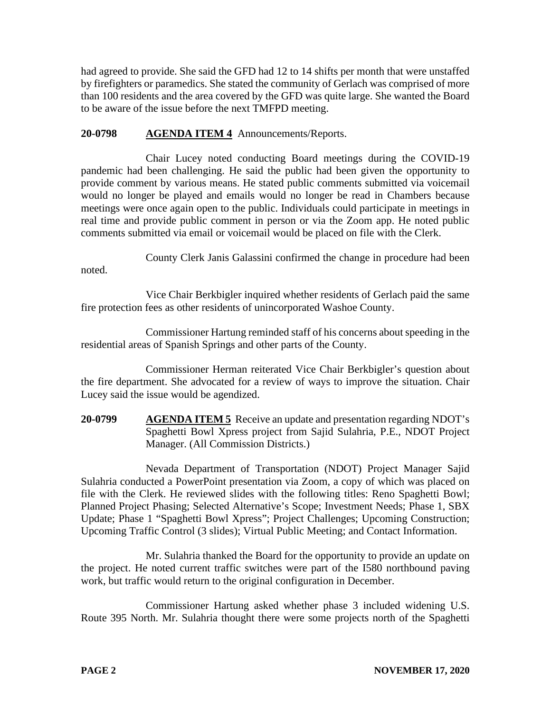had agreed to provide. She said the GFD had 12 to 14 shifts per month that were unstaffed by firefighters or paramedics. She stated the community of Gerlach was comprised of more than 100 residents and the area covered by the GFD was quite large. She wanted the Board to be aware of the issue before the next TMFPD meeting.

# **20-0798 AGENDA ITEM 4** Announcements/Reports.

Chair Lucey noted conducting Board meetings during the COVID-19 pandemic had been challenging. He said the public had been given the opportunity to provide comment by various means. He stated public comments submitted via voicemail would no longer be played and emails would no longer be read in Chambers because meetings were once again open to the public. Individuals could participate in meetings in real time and provide public comment in person or via the Zoom app. He noted public comments submitted via email or voicemail would be placed on file with the Clerk.

County Clerk Janis Galassini confirmed the change in procedure had been

Vice Chair Berkbigler inquired whether residents of Gerlach paid the same fire protection fees as other residents of unincorporated Washoe County.

Commissioner Hartung reminded staff of his concerns about speeding in the residential areas of Spanish Springs and other parts of the County.

Commissioner Herman reiterated Vice Chair Berkbigler's question about the fire department. She advocated for a review of ways to improve the situation. Chair Lucey said the issue would be agendized.

**20-0799 AGENDA ITEM 5** Receive an update and presentation regarding NDOT's Spaghetti Bowl Xpress project from Sajid Sulahria, P.E., NDOT Project Manager. (All Commission Districts.)

Nevada Department of Transportation (NDOT) Project Manager Sajid Sulahria conducted a PowerPoint presentation via Zoom, a copy of which was placed on file with the Clerk. He reviewed slides with the following titles: Reno Spaghetti Bowl; Planned Project Phasing; Selected Alternative's Scope; Investment Needs; Phase 1, SBX Update; Phase 1 "Spaghetti Bowl Xpress"; Project Challenges; Upcoming Construction; Upcoming Traffic Control (3 slides); Virtual Public Meeting; and Contact Information.

Mr. Sulahria thanked the Board for the opportunity to provide an update on the project. He noted current traffic switches were part of the I580 northbound paving work, but traffic would return to the original configuration in December.

Commissioner Hartung asked whether phase 3 included widening U.S. Route 395 North. Mr. Sulahria thought there were some projects north of the Spaghetti

noted.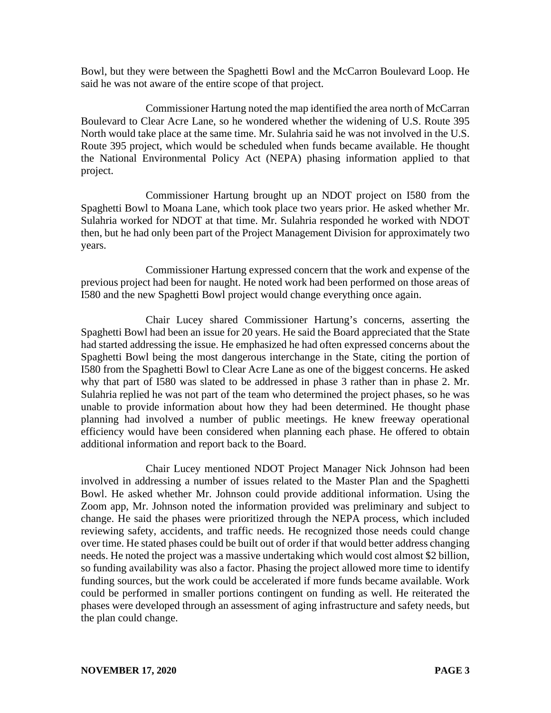Bowl, but they were between the Spaghetti Bowl and the McCarron Boulevard Loop. He said he was not aware of the entire scope of that project.

Commissioner Hartung noted the map identified the area north of McCarran Boulevard to Clear Acre Lane, so he wondered whether the widening of U.S. Route 395 North would take place at the same time. Mr. Sulahria said he was not involved in the U.S. Route 395 project, which would be scheduled when funds became available. He thought the National Environmental Policy Act (NEPA) phasing information applied to that project.

Commissioner Hartung brought up an NDOT project on I580 from the Spaghetti Bowl to Moana Lane, which took place two years prior. He asked whether Mr. Sulahria worked for NDOT at that time. Mr. Sulahria responded he worked with NDOT then, but he had only been part of the Project Management Division for approximately two years.

Commissioner Hartung expressed concern that the work and expense of the previous project had been for naught. He noted work had been performed on those areas of I580 and the new Spaghetti Bowl project would change everything once again.

Chair Lucey shared Commissioner Hartung's concerns, asserting the Spaghetti Bowl had been an issue for 20 years. He said the Board appreciated that the State had started addressing the issue. He emphasized he had often expressed concerns about the Spaghetti Bowl being the most dangerous interchange in the State, citing the portion of I580 from the Spaghetti Bowl to Clear Acre Lane as one of the biggest concerns. He asked why that part of I580 was slated to be addressed in phase 3 rather than in phase 2. Mr. Sulahria replied he was not part of the team who determined the project phases, so he was unable to provide information about how they had been determined. He thought phase planning had involved a number of public meetings. He knew freeway operational efficiency would have been considered when planning each phase. He offered to obtain additional information and report back to the Board.

Chair Lucey mentioned NDOT Project Manager Nick Johnson had been involved in addressing a number of issues related to the Master Plan and the Spaghetti Bowl. He asked whether Mr. Johnson could provide additional information. Using the Zoom app, Mr. Johnson noted the information provided was preliminary and subject to change. He said the phases were prioritized through the NEPA process, which included reviewing safety, accidents, and traffic needs. He recognized those needs could change over time. He stated phases could be built out of order if that would better address changing needs. He noted the project was a massive undertaking which would cost almost \$2 billion, so funding availability was also a factor. Phasing the project allowed more time to identify funding sources, but the work could be accelerated if more funds became available. Work could be performed in smaller portions contingent on funding as well. He reiterated the phases were developed through an assessment of aging infrastructure and safety needs, but the plan could change.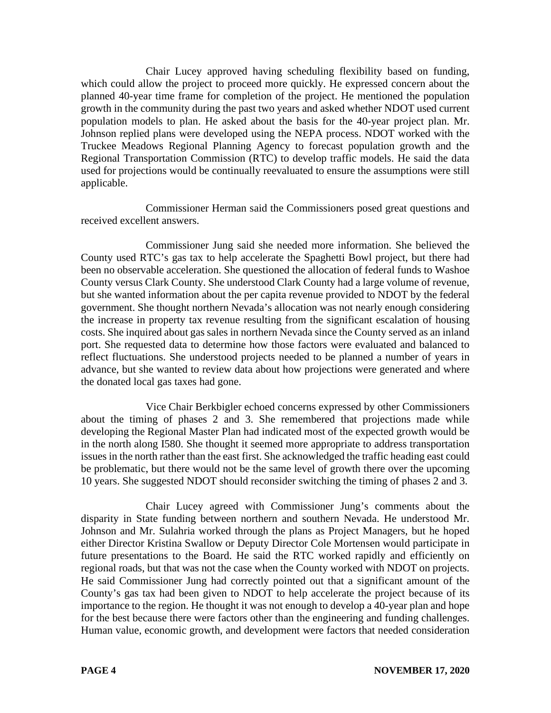Chair Lucey approved having scheduling flexibility based on funding, which could allow the project to proceed more quickly. He expressed concern about the planned 40-year time frame for completion of the project. He mentioned the population growth in the community during the past two years and asked whether NDOT used current population models to plan. He asked about the basis for the 40-year project plan. Mr. Johnson replied plans were developed using the NEPA process. NDOT worked with the Truckee Meadows Regional Planning Agency to forecast population growth and the Regional Transportation Commission (RTC) to develop traffic models. He said the data used for projections would be continually reevaluated to ensure the assumptions were still applicable.

Commissioner Herman said the Commissioners posed great questions and received excellent answers.

Commissioner Jung said she needed more information. She believed the County used RTC's gas tax to help accelerate the Spaghetti Bowl project, but there had been no observable acceleration. She questioned the allocation of federal funds to Washoe County versus Clark County. She understood Clark County had a large volume of revenue, but she wanted information about the per capita revenue provided to NDOT by the federal government. She thought northern Nevada's allocation was not nearly enough considering the increase in property tax revenue resulting from the significant escalation of housing costs. She inquired about gas sales in northern Nevada since the County served as an inland port. She requested data to determine how those factors were evaluated and balanced to reflect fluctuations. She understood projects needed to be planned a number of years in advance, but she wanted to review data about how projections were generated and where the donated local gas taxes had gone.

Vice Chair Berkbigler echoed concerns expressed by other Commissioners about the timing of phases 2 and 3. She remembered that projections made while developing the Regional Master Plan had indicated most of the expected growth would be in the north along I580. She thought it seemed more appropriate to address transportation issues in the north rather than the east first. She acknowledged the traffic heading east could be problematic, but there would not be the same level of growth there over the upcoming 10 years. She suggested NDOT should reconsider switching the timing of phases 2 and 3.

Chair Lucey agreed with Commissioner Jung's comments about the disparity in State funding between northern and southern Nevada. He understood Mr. Johnson and Mr. Sulahria worked through the plans as Project Managers, but he hoped either Director Kristina Swallow or Deputy Director Cole Mortensen would participate in future presentations to the Board. He said the RTC worked rapidly and efficiently on regional roads, but that was not the case when the County worked with NDOT on projects. He said Commissioner Jung had correctly pointed out that a significant amount of the County's gas tax had been given to NDOT to help accelerate the project because of its importance to the region. He thought it was not enough to develop a 40-year plan and hope for the best because there were factors other than the engineering and funding challenges. Human value, economic growth, and development were factors that needed consideration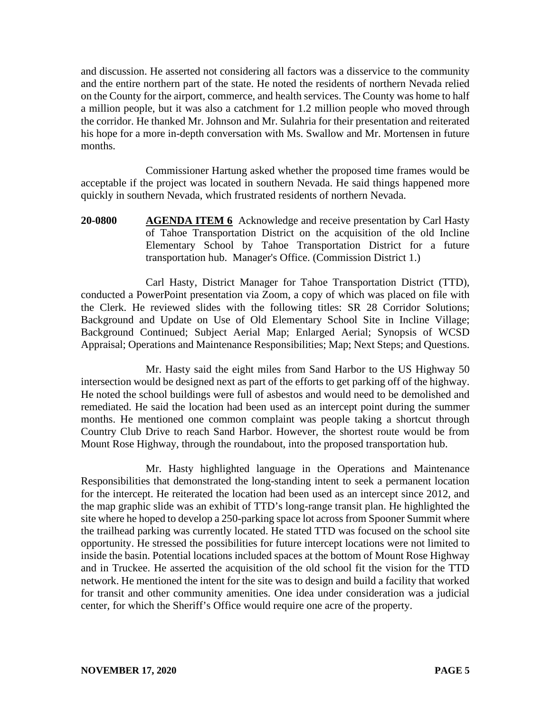and discussion. He asserted not considering all factors was a disservice to the community and the entire northern part of the state. He noted the residents of northern Nevada relied on the County for the airport, commerce, and health services. The County was home to half a million people, but it was also a catchment for 1.2 million people who moved through the corridor. He thanked Mr. Johnson and Mr. Sulahria for their presentation and reiterated his hope for a more in-depth conversation with Ms. Swallow and Mr. Mortensen in future months.

Commissioner Hartung asked whether the proposed time frames would be acceptable if the project was located in southern Nevada. He said things happened more quickly in southern Nevada, which frustrated residents of northern Nevada.

**20-0800 AGENDA ITEM 6** Acknowledge and receive presentation by Carl Hasty of Tahoe Transportation District on the acquisition of the old Incline Elementary School by Tahoe Transportation District for a future transportation hub. Manager's Office. (Commission District 1.)

Carl Hasty, District Manager for Tahoe Transportation District (TTD), conducted a PowerPoint presentation via Zoom, a copy of which was placed on file with the Clerk. He reviewed slides with the following titles: SR 28 Corridor Solutions; Background and Update on Use of Old Elementary School Site in Incline Village; Background Continued; Subject Aerial Map; Enlarged Aerial; Synopsis of WCSD Appraisal; Operations and Maintenance Responsibilities; Map; Next Steps; and Questions.

Mr. Hasty said the eight miles from Sand Harbor to the US Highway 50 intersection would be designed next as part of the efforts to get parking off of the highway. He noted the school buildings were full of asbestos and would need to be demolished and remediated. He said the location had been used as an intercept point during the summer months. He mentioned one common complaint was people taking a shortcut through Country Club Drive to reach Sand Harbor. However, the shortest route would be from Mount Rose Highway, through the roundabout, into the proposed transportation hub.

Mr. Hasty highlighted language in the Operations and Maintenance Responsibilities that demonstrated the long-standing intent to seek a permanent location for the intercept. He reiterated the location had been used as an intercept since 2012, and the map graphic slide was an exhibit of TTD's long-range transit plan. He highlighted the site where he hoped to develop a 250-parking space lot across from Spooner Summit where the trailhead parking was currently located. He stated TTD was focused on the school site opportunity. He stressed the possibilities for future intercept locations were not limited to inside the basin. Potential locations included spaces at the bottom of Mount Rose Highway and in Truckee. He asserted the acquisition of the old school fit the vision for the TTD network. He mentioned the intent for the site was to design and build a facility that worked for transit and other community amenities. One idea under consideration was a judicial center, for which the Sheriff's Office would require one acre of the property.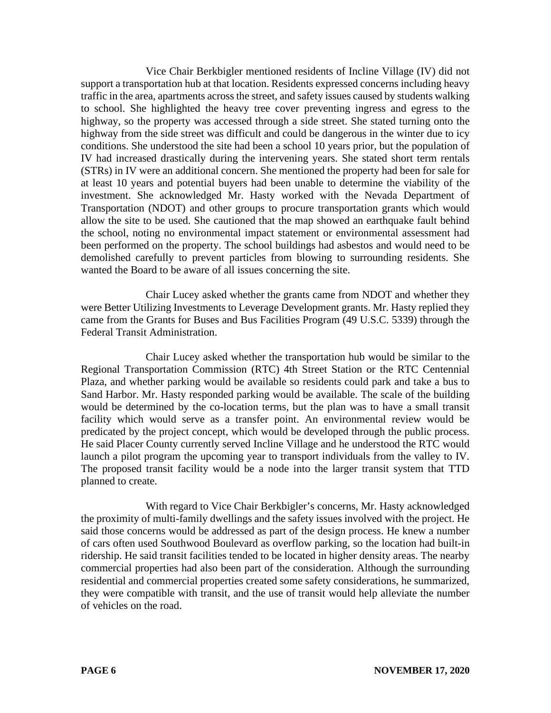Vice Chair Berkbigler mentioned residents of Incline Village (IV) did not support a transportation hub at that location. Residents expressed concerns including heavy traffic in the area, apartments across the street, and safety issues caused by students walking to school. She highlighted the heavy tree cover preventing ingress and egress to the highway, so the property was accessed through a side street. She stated turning onto the highway from the side street was difficult and could be dangerous in the winter due to icy conditions. She understood the site had been a school 10 years prior, but the population of IV had increased drastically during the intervening years. She stated short term rentals (STRs) in IV were an additional concern. She mentioned the property had been for sale for at least 10 years and potential buyers had been unable to determine the viability of the investment. She acknowledged Mr. Hasty worked with the Nevada Department of Transportation (NDOT) and other groups to procure transportation grants which would allow the site to be used. She cautioned that the map showed an earthquake fault behind the school, noting no environmental impact statement or environmental assessment had been performed on the property. The school buildings had asbestos and would need to be demolished carefully to prevent particles from blowing to surrounding residents. She wanted the Board to be aware of all issues concerning the site.

Chair Lucey asked whether the grants came from NDOT and whether they were Better Utilizing Investments to Leverage Development grants. Mr. Hasty replied they came from the Grants for Buses and Bus Facilities Program (49 U.S.C. 5339) through the Federal Transit Administration.

Chair Lucey asked whether the transportation hub would be similar to the Regional Transportation Commission (RTC) 4th Street Station or the RTC Centennial Plaza, and whether parking would be available so residents could park and take a bus to Sand Harbor. Mr. Hasty responded parking would be available. The scale of the building would be determined by the co-location terms, but the plan was to have a small transit facility which would serve as a transfer point. An environmental review would be predicated by the project concept, which would be developed through the public process. He said Placer County currently served Incline Village and he understood the RTC would launch a pilot program the upcoming year to transport individuals from the valley to IV. The proposed transit facility would be a node into the larger transit system that TTD planned to create.

With regard to Vice Chair Berkbigler's concerns, Mr. Hasty acknowledged the proximity of multi-family dwellings and the safety issues involved with the project. He said those concerns would be addressed as part of the design process. He knew a number of cars often used Southwood Boulevard as overflow parking, so the location had built-in ridership. He said transit facilities tended to be located in higher density areas. The nearby commercial properties had also been part of the consideration. Although the surrounding residential and commercial properties created some safety considerations, he summarized, they were compatible with transit, and the use of transit would help alleviate the number of vehicles on the road.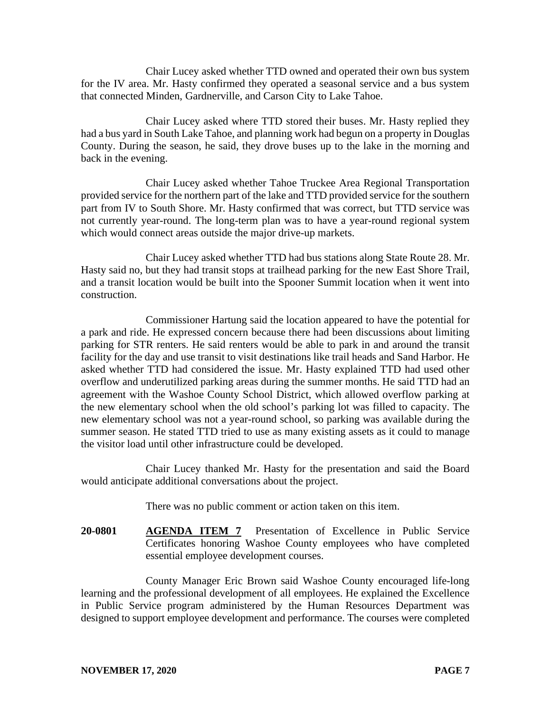Chair Lucey asked whether TTD owned and operated their own bus system for the IV area. Mr. Hasty confirmed they operated a seasonal service and a bus system that connected Minden, Gardnerville, and Carson City to Lake Tahoe.

Chair Lucey asked where TTD stored their buses. Mr. Hasty replied they had a bus yard in South Lake Tahoe, and planning work had begun on a property in Douglas County. During the season, he said, they drove buses up to the lake in the morning and back in the evening.

Chair Lucey asked whether Tahoe Truckee Area Regional Transportation provided service for the northern part of the lake and TTD provided service for the southern part from IV to South Shore. Mr. Hasty confirmed that was correct, but TTD service was not currently year-round. The long-term plan was to have a year-round regional system which would connect areas outside the major drive-up markets.

Chair Lucey asked whether TTD had bus stations along State Route 28. Mr. Hasty said no, but they had transit stops at trailhead parking for the new East Shore Trail, and a transit location would be built into the Spooner Summit location when it went into construction.

Commissioner Hartung said the location appeared to have the potential for a park and ride. He expressed concern because there had been discussions about limiting parking for STR renters. He said renters would be able to park in and around the transit facility for the day and use transit to visit destinations like trail heads and Sand Harbor. He asked whether TTD had considered the issue. Mr. Hasty explained TTD had used other overflow and underutilized parking areas during the summer months. He said TTD had an agreement with the Washoe County School District, which allowed overflow parking at the new elementary school when the old school's parking lot was filled to capacity. The new elementary school was not a year-round school, so parking was available during the summer season. He stated TTD tried to use as many existing assets as it could to manage the visitor load until other infrastructure could be developed.

Chair Lucey thanked Mr. Hasty for the presentation and said the Board would anticipate additional conversations about the project.

There was no public comment or action taken on this item.

**20-0801 AGENDA ITEM 7** Presentation of Excellence in Public Service Certificates honoring Washoe County employees who have completed essential employee development courses.

County Manager Eric Brown said Washoe County encouraged life-long learning and the professional development of all employees. He explained the Excellence in Public Service program administered by the Human Resources Department was designed to support employee development and performance. The courses were completed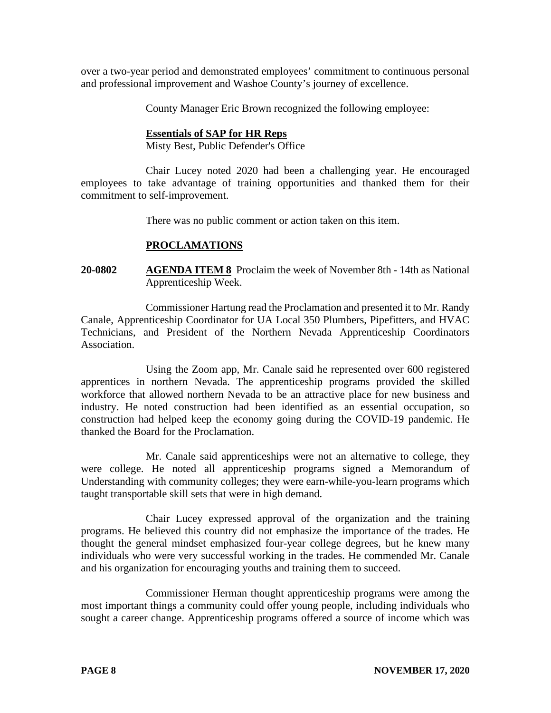over a two-year period and demonstrated employees' commitment to continuous personal and professional improvement and Washoe County's journey of excellence.

County Manager Eric Brown recognized the following employee:

#### **Essentials of SAP for HR Reps**

Misty Best, Public Defender's Office

Chair Lucey noted 2020 had been a challenging year. He encouraged employees to take advantage of training opportunities and thanked them for their commitment to self-improvement.

There was no public comment or action taken on this item.

### **PROCLAMATIONS**

**20-0802 AGENDA ITEM 8** Proclaim the week of November 8th - 14th as National Apprenticeship Week.

Commissioner Hartung read the Proclamation and presented it to Mr. Randy Canale, Apprenticeship Coordinator for UA Local 350 Plumbers, Pipefitters, and HVAC Technicians, and President of the Northern Nevada Apprenticeship Coordinators Association.

Using the Zoom app, Mr. Canale said he represented over 600 registered apprentices in northern Nevada. The apprenticeship programs provided the skilled workforce that allowed northern Nevada to be an attractive place for new business and industry. He noted construction had been identified as an essential occupation, so construction had helped keep the economy going during the COVID-19 pandemic. He thanked the Board for the Proclamation.

Mr. Canale said apprenticeships were not an alternative to college, they were college. He noted all apprenticeship programs signed a Memorandum of Understanding with community colleges; they were earn-while-you-learn programs which taught transportable skill sets that were in high demand.

Chair Lucey expressed approval of the organization and the training programs. He believed this country did not emphasize the importance of the trades. He thought the general mindset emphasized four-year college degrees, but he knew many individuals who were very successful working in the trades. He commended Mr. Canale and his organization for encouraging youths and training them to succeed.

Commissioner Herman thought apprenticeship programs were among the most important things a community could offer young people, including individuals who sought a career change. Apprenticeship programs offered a source of income which was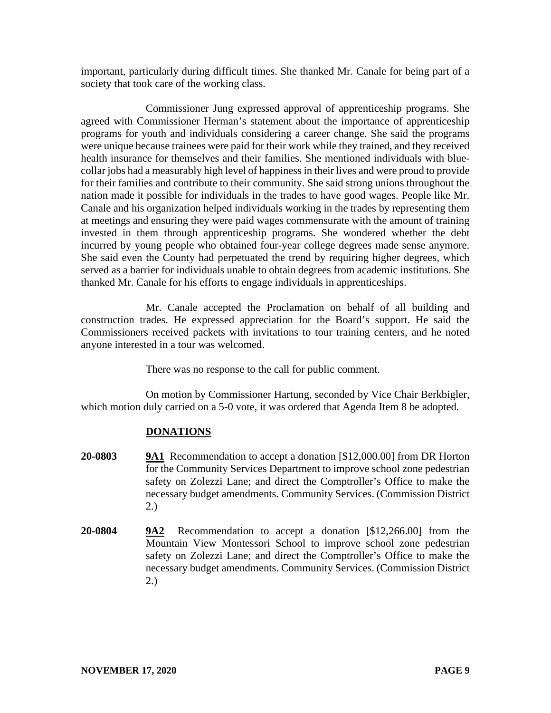important, particularly during difficult times. She thanked Mr. Canale for being part of a society that took care of the working class.

Commissioner Jung expressed approval of apprenticeship programs. She agreed with Commissioner Herman's statement about the importance of apprenticeship programs for youth and individuals considering a career change. She said the programs were unique because trainees were paid for their work while they trained, and they received health insurance for themselves and their families. She mentioned individuals with bluecollar jobs had a measurably high level of happiness in their lives and were proud to provide for their families and contribute to their community. She said strong unions throughout the nation made it possible for individuals in the trades to have good wages. People like Mr. Canale and his organization helped individuals working in the trades by representing them at meetings and ensuring they were paid wages commensurate with the amount of training invested in them through apprenticeship programs. She wondered whether the debt incurred by young people who obtained four-year college degrees made sense anymore. She said even the County had perpetuated the trend by requiring higher degrees, which served as a barrier for individuals unable to obtain degrees from academic institutions. She thanked Mr. Canale for his efforts to engage individuals in apprenticeships.

Mr. Canale accepted the Proclamation on behalf of all building and construction trades. He expressed appreciation for the Board's support. He said the Commissioners received packets with invitations to tour training centers, and he noted anyone interested in a tour was welcomed.

There was no response to the call for public comment.

On motion by Commissioner Hartung, seconded by Vice Chair Berkbigler, which motion duly carried on a 5-0 vote, it was ordered that Agenda Item 8 be adopted.

# **DONATIONS**

- **20-0803 9A1** Recommendation to accept a donation [\$12,000.00] from DR Horton for the Community Services Department to improve school zone pedestrian safety on Zolezzi Lane; and direct the Comptroller's Office to make the necessary budget amendments. Community Services. (Commission District 2.)
- **20-0804 9A2** Recommendation to accept a donation [\$12,266.00] from the Mountain View Montessori School to improve school zone pedestrian safety on Zolezzi Lane; and direct the Comptroller's Office to make the necessary budget amendments. Community Services. (Commission District 2.)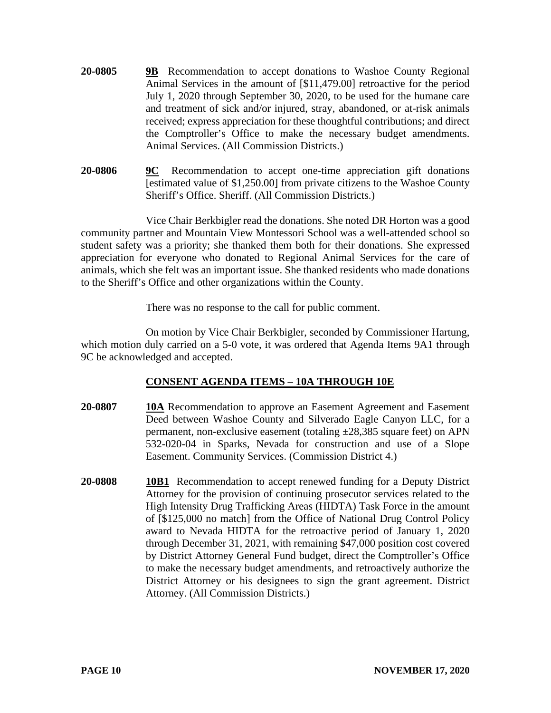- **20-0805 9B** Recommendation to accept donations to Washoe County Regional Animal Services in the amount of [\$11,479.00] retroactive for the period July 1, 2020 through September 30, 2020, to be used for the humane care and treatment of sick and/or injured, stray, abandoned, or at-risk animals received; express appreciation for these thoughtful contributions; and direct the Comptroller's Office to make the necessary budget amendments. Animal Services. (All Commission Districts.)
- **20-0806 9C** Recommendation to accept one-time appreciation gift donations [estimated value of \$1,250.00] from private citizens to the Washoe County Sheriff's Office. Sheriff. (All Commission Districts.)

Vice Chair Berkbigler read the donations. She noted DR Horton was a good community partner and Mountain View Montessori School was a well-attended school so student safety was a priority; she thanked them both for their donations. She expressed appreciation for everyone who donated to Regional Animal Services for the care of animals, which she felt was an important issue. She thanked residents who made donations to the Sheriff's Office and other organizations within the County.

There was no response to the call for public comment.

On motion by Vice Chair Berkbigler, seconded by Commissioner Hartung, which motion duly carried on a 5-0 vote, it was ordered that Agenda Items 9A1 through 9C be acknowledged and accepted.

# **CONSENT AGENDA ITEMS** – **10A THROUGH 10E**

- **20-0807 10A** Recommendation to approve an Easement Agreement and Easement Deed between Washoe County and Silverado Eagle Canyon LLC, for a permanent, non-exclusive easement (totaling  $\pm 28,385$  square feet) on APN 532-020-04 in Sparks, Nevada for construction and use of a Slope Easement. Community Services. (Commission District 4.)
- **20-0808 10B1** Recommendation to accept renewed funding for a Deputy District Attorney for the provision of continuing prosecutor services related to the High Intensity Drug Trafficking Areas (HIDTA) Task Force in the amount of [\$125,000 no match] from the Office of National Drug Control Policy award to Nevada HIDTA for the retroactive period of January 1, 2020 through December 31, 2021, with remaining \$47,000 position cost covered by District Attorney General Fund budget, direct the Comptroller's Office to make the necessary budget amendments, and retroactively authorize the District Attorney or his designees to sign the grant agreement. District Attorney. (All Commission Districts.)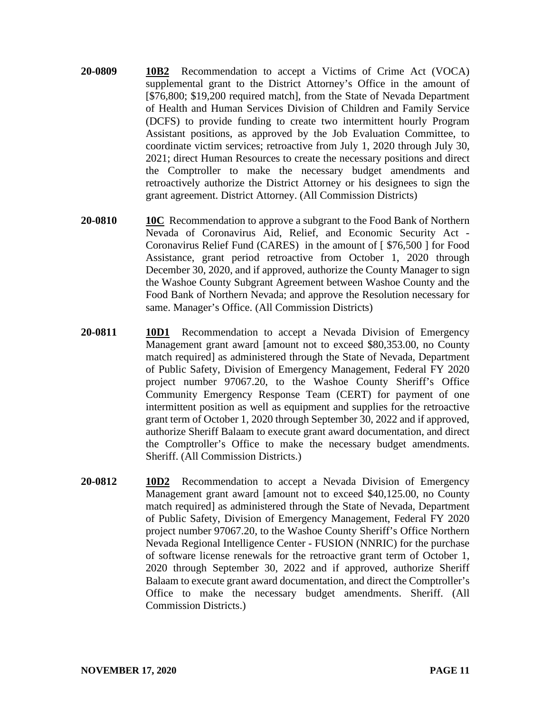- **20-0809 10B2** Recommendation to accept a Victims of Crime Act (VOCA) supplemental grant to the District Attorney's Office in the amount of [\$76,800; \$19,200 required match], from the State of Nevada Department of Health and Human Services Division of Children and Family Service (DCFS) to provide funding to create two intermittent hourly Program Assistant positions, as approved by the Job Evaluation Committee, to coordinate victim services; retroactive from July 1, 2020 through July 30, 2021; direct Human Resources to create the necessary positions and direct the Comptroller to make the necessary budget amendments and retroactively authorize the District Attorney or his designees to sign the grant agreement. District Attorney. (All Commission Districts)
- **20-0810 10C** Recommendation to approve a subgrant to the Food Bank of Northern Nevada of Coronavirus Aid, Relief, and Economic Security Act - Coronavirus Relief Fund (CARES) in the amount of [ \$76,500 ] for Food Assistance, grant period retroactive from October 1, 2020 through December 30, 2020, and if approved, authorize the County Manager to sign the Washoe County Subgrant Agreement between Washoe County and the Food Bank of Northern Nevada; and approve the Resolution necessary for same. Manager's Office. (All Commission Districts)
- **20-0811 10D1** Recommendation to accept a Nevada Division of Emergency Management grant award [amount not to exceed \$80,353.00, no County match required] as administered through the State of Nevada, Department of Public Safety, Division of Emergency Management, Federal FY 2020 project number 97067.20, to the Washoe County Sheriff's Office Community Emergency Response Team (CERT) for payment of one intermittent position as well as equipment and supplies for the retroactive grant term of October 1, 2020 through September 30, 2022 and if approved, authorize Sheriff Balaam to execute grant award documentation, and direct the Comptroller's Office to make the necessary budget amendments. Sheriff. (All Commission Districts.)
- **20-0812 10D2** Recommendation to accept a Nevada Division of Emergency Management grant award [amount not to exceed \$40,125.00, no County match required] as administered through the State of Nevada, Department of Public Safety, Division of Emergency Management, Federal FY 2020 project number 97067.20, to the Washoe County Sheriff's Office Northern Nevada Regional Intelligence Center - FUSION (NNRIC) for the purchase of software license renewals for the retroactive grant term of October 1, 2020 through September 30, 2022 and if approved, authorize Sheriff Balaam to execute grant award documentation, and direct the Comptroller's Office to make the necessary budget amendments. Sheriff. (All Commission Districts.)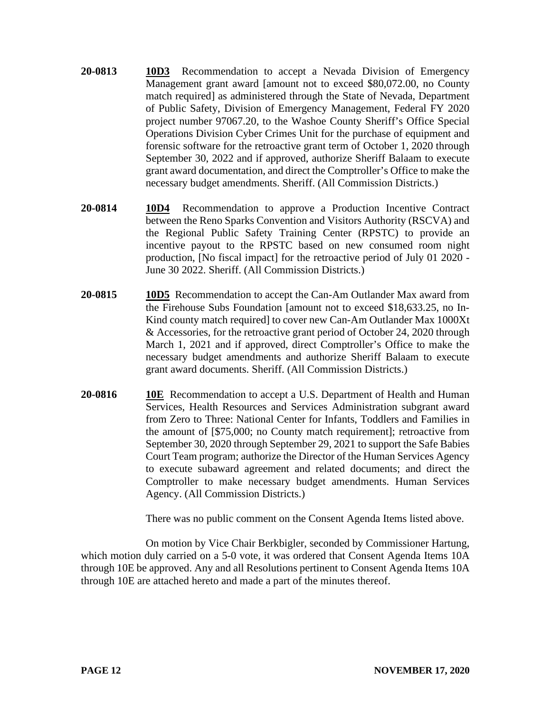- **20-0813 10D3** Recommendation to accept a Nevada Division of Emergency Management grant award [amount not to exceed \$80,072.00, no County match required] as administered through the State of Nevada, Department of Public Safety, Division of Emergency Management, Federal FY 2020 project number 97067.20, to the Washoe County Sheriff's Office Special Operations Division Cyber Crimes Unit for the purchase of equipment and forensic software for the retroactive grant term of October 1, 2020 through September 30, 2022 and if approved, authorize Sheriff Balaam to execute grant award documentation, and direct the Comptroller's Office to make the necessary budget amendments. Sheriff. (All Commission Districts.)
- **20-0814 10D4** Recommendation to approve a Production Incentive Contract between the Reno Sparks Convention and Visitors Authority (RSCVA) and the Regional Public Safety Training Center (RPSTC) to provide an incentive payout to the RPSTC based on new consumed room night production, [No fiscal impact] for the retroactive period of July 01 2020 - June 30 2022. Sheriff. (All Commission Districts.)
- **20-0815 10D5** Recommendation to accept the Can-Am Outlander Max award from the Firehouse Subs Foundation [amount not to exceed \$18,633.25, no In-Kind county match required] to cover new Can-Am Outlander Max 1000Xt & Accessories, for the retroactive grant period of October 24, 2020 through March 1, 2021 and if approved, direct Comptroller's Office to make the necessary budget amendments and authorize Sheriff Balaam to execute grant award documents. Sheriff. (All Commission Districts.)
- **20-0816 10E** Recommendation to accept a U.S. Department of Health and Human Services, Health Resources and Services Administration subgrant award from Zero to Three: National Center for Infants, Toddlers and Families in the amount of [\$75,000; no County match requirement]; retroactive from September 30, 2020 through September 29, 2021 to support the Safe Babies Court Team program; authorize the Director of the Human Services Agency to execute subaward agreement and related documents; and direct the Comptroller to make necessary budget amendments. Human Services Agency. (All Commission Districts.)

There was no public comment on the Consent Agenda Items listed above.

On motion by Vice Chair Berkbigler, seconded by Commissioner Hartung, which motion duly carried on a 5-0 vote, it was ordered that Consent Agenda Items 10A through 10E be approved. Any and all Resolutions pertinent to Consent Agenda Items 10A through 10E are attached hereto and made a part of the minutes thereof.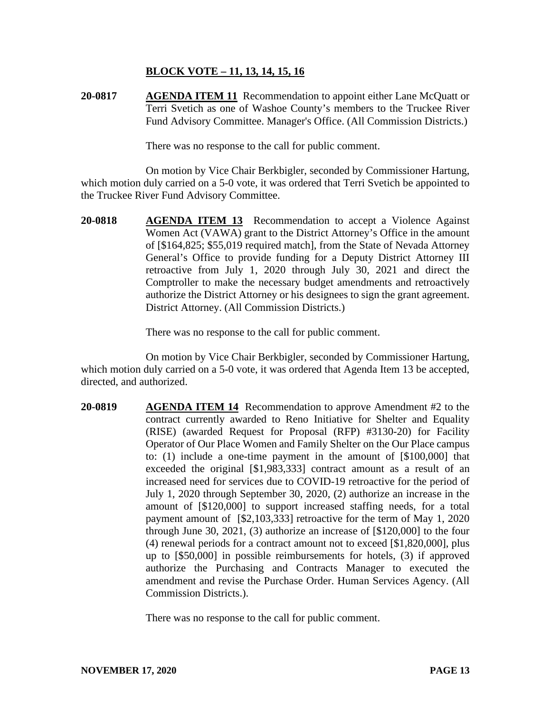### **BLOCK VOTE – 11, 13, 14, 15, 16**

**20-0817 AGENDA ITEM 11** Recommendation to appoint either Lane McQuatt or Terri Svetich as one of Washoe County's members to the Truckee River Fund Advisory Committee. Manager's Office. (All Commission Districts.)

There was no response to the call for public comment.

On motion by Vice Chair Berkbigler, seconded by Commissioner Hartung, which motion duly carried on a 5-0 vote, it was ordered that Terri Svetich be appointed to the Truckee River Fund Advisory Committee.

**20-0818 AGENDA ITEM 13** Recommendation to accept a Violence Against Women Act (VAWA) grant to the District Attorney's Office in the amount of [\$164,825; \$55,019 required match], from the State of Nevada Attorney General's Office to provide funding for a Deputy District Attorney III retroactive from July 1, 2020 through July 30, 2021 and direct the Comptroller to make the necessary budget amendments and retroactively authorize the District Attorney or his designees to sign the grant agreement. District Attorney. (All Commission Districts.)

There was no response to the call for public comment.

On motion by Vice Chair Berkbigler, seconded by Commissioner Hartung, which motion duly carried on a 5-0 vote, it was ordered that Agenda Item 13 be accepted, directed, and authorized.

**20-0819 AGENDA ITEM 14** Recommendation to approve Amendment #2 to the contract currently awarded to Reno Initiative for Shelter and Equality (RISE) (awarded Request for Proposal (RFP) #3130-20) for Facility Operator of Our Place Women and Family Shelter on the Our Place campus to: (1) include a one-time payment in the amount of [\$100,000] that exceeded the original [\$1,983,333] contract amount as a result of an increased need for services due to COVID-19 retroactive for the period of July 1, 2020 through September 30, 2020, (2) authorize an increase in the amount of [\$120,000] to support increased staffing needs, for a total payment amount of [\$2,103,333] retroactive for the term of May 1, 2020 through June 30, 2021, (3) authorize an increase of [\$120,000] to the four (4) renewal periods for a contract amount not to exceed [\$1,820,000], plus up to [\$50,000] in possible reimbursements for hotels, (3) if approved authorize the Purchasing and Contracts Manager to executed the amendment and revise the Purchase Order. Human Services Agency. (All Commission Districts.).

There was no response to the call for public comment.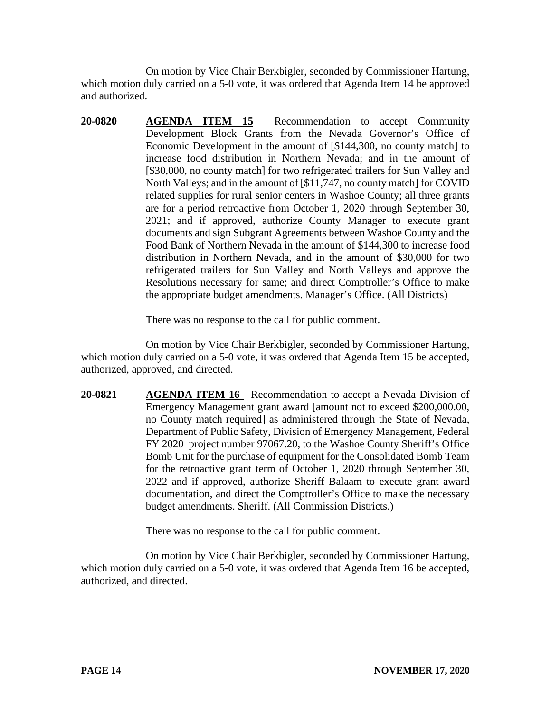On motion by Vice Chair Berkbigler, seconded by Commissioner Hartung, which motion duly carried on a 5-0 vote, it was ordered that Agenda Item 14 be approved and authorized.

**20-0820 AGENDA ITEM 15** Recommendation to accept Community Development Block Grants from the Nevada Governor's Office of Economic Development in the amount of [\$144,300, no county match] to increase food distribution in Northern Nevada; and in the amount of [\$30,000, no county match] for two refrigerated trailers for Sun Valley and North Valleys; and in the amount of [\$11,747, no county match] for COVID related supplies for rural senior centers in Washoe County; all three grants are for a period retroactive from October 1, 2020 through September 30, 2021; and if approved, authorize County Manager to execute grant documents and sign Subgrant Agreements between Washoe County and the Food Bank of Northern Nevada in the amount of \$144,300 to increase food distribution in Northern Nevada, and in the amount of \$30,000 for two refrigerated trailers for Sun Valley and North Valleys and approve the Resolutions necessary for same; and direct Comptroller's Office to make the appropriate budget amendments. Manager's Office. (All Districts)

There was no response to the call for public comment.

On motion by Vice Chair Berkbigler, seconded by Commissioner Hartung, which motion duly carried on a 5-0 vote, it was ordered that Agenda Item 15 be accepted, authorized, approved, and directed.

**20-0821 AGENDA ITEM 16** Recommendation to accept a Nevada Division of Emergency Management grant award [amount not to exceed \$200,000.00, no County match required] as administered through the State of Nevada, Department of Public Safety, Division of Emergency Management, Federal FY 2020 project number 97067.20, to the Washoe County Sheriff's Office Bomb Unit for the purchase of equipment for the Consolidated Bomb Team for the retroactive grant term of October 1, 2020 through September 30, 2022 and if approved, authorize Sheriff Balaam to execute grant award documentation, and direct the Comptroller's Office to make the necessary budget amendments. Sheriff. (All Commission Districts.)

There was no response to the call for public comment.

On motion by Vice Chair Berkbigler, seconded by Commissioner Hartung, which motion duly carried on a 5-0 vote, it was ordered that Agenda Item 16 be accepted, authorized, and directed.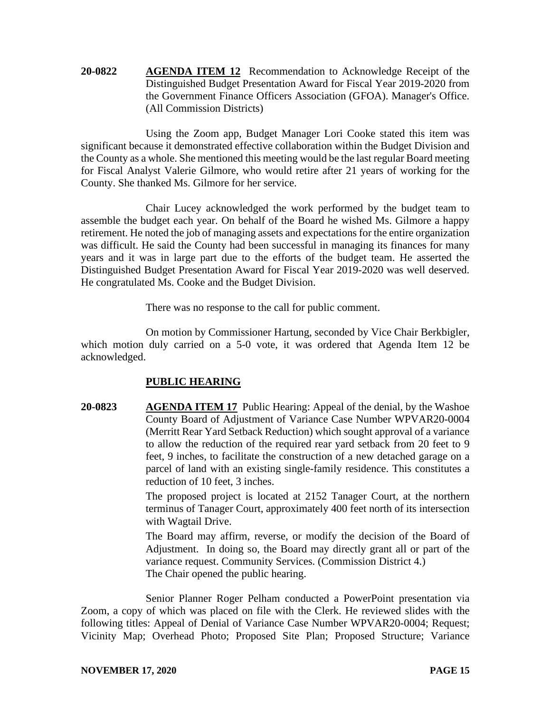**20-0822 AGENDA ITEM 12** Recommendation to Acknowledge Receipt of the Distinguished Budget Presentation Award for Fiscal Year 2019-2020 from the Government Finance Officers Association (GFOA). Manager's Office. (All Commission Districts)

Using the Zoom app, Budget Manager Lori Cooke stated this item was significant because it demonstrated effective collaboration within the Budget Division and the County as a whole. She mentioned this meeting would be the last regular Board meeting for Fiscal Analyst Valerie Gilmore, who would retire after 21 years of working for the County. She thanked Ms. Gilmore for her service.

Chair Lucey acknowledged the work performed by the budget team to assemble the budget each year. On behalf of the Board he wished Ms. Gilmore a happy retirement. He noted the job of managing assets and expectations for the entire organization was difficult. He said the County had been successful in managing its finances for many years and it was in large part due to the efforts of the budget team. He asserted the Distinguished Budget Presentation Award for Fiscal Year 2019-2020 was well deserved. He congratulated Ms. Cooke and the Budget Division.

There was no response to the call for public comment.

On motion by Commissioner Hartung, seconded by Vice Chair Berkbigler, which motion duly carried on a 5-0 vote, it was ordered that Agenda Item 12 be acknowledged.

### **PUBLIC HEARING**

**20-0823 AGENDA ITEM 17** Public Hearing: Appeal of the denial, by the Washoe County Board of Adjustment of Variance Case Number WPVAR20-0004 (Merritt Rear Yard Setback Reduction) which sought approval of a variance to allow the reduction of the required rear yard setback from 20 feet to 9 feet, 9 inches, to facilitate the construction of a new detached garage on a parcel of land with an existing single-family residence. This constitutes a reduction of 10 feet, 3 inches.

> The proposed project is located at 2152 Tanager Court, at the northern terminus of Tanager Court, approximately 400 feet north of its intersection with Wagtail Drive.

> The Board may affirm, reverse, or modify the decision of the Board of Adjustment. In doing so, the Board may directly grant all or part of the variance request. Community Services. (Commission District 4.) The Chair opened the public hearing.

Senior Planner Roger Pelham conducted a PowerPoint presentation via Zoom, a copy of which was placed on file with the Clerk. He reviewed slides with the following titles: Appeal of Denial of Variance Case Number WPVAR20-0004; Request; Vicinity Map; Overhead Photo; Proposed Site Plan; Proposed Structure; Variance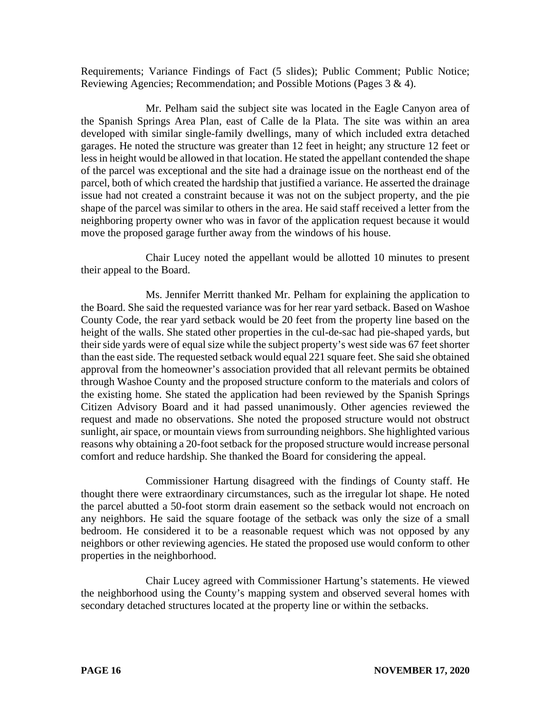Requirements; Variance Findings of Fact (5 slides); Public Comment; Public Notice; Reviewing Agencies; Recommendation; and Possible Motions (Pages 3 & 4).

Mr. Pelham said the subject site was located in the Eagle Canyon area of the Spanish Springs Area Plan, east of Calle de la Plata. The site was within an area developed with similar single-family dwellings, many of which included extra detached garages. He noted the structure was greater than 12 feet in height; any structure 12 feet or less in height would be allowed in that location. He stated the appellant contended the shape of the parcel was exceptional and the site had a drainage issue on the northeast end of the parcel, both of which created the hardship that justified a variance. He asserted the drainage issue had not created a constraint because it was not on the subject property, and the pie shape of the parcel was similar to others in the area. He said staff received a letter from the neighboring property owner who was in favor of the application request because it would move the proposed garage further away from the windows of his house.

Chair Lucey noted the appellant would be allotted 10 minutes to present their appeal to the Board.

Ms. Jennifer Merritt thanked Mr. Pelham for explaining the application to the Board. She said the requested variance was for her rear yard setback. Based on Washoe County Code, the rear yard setback would be 20 feet from the property line based on the height of the walls. She stated other properties in the cul-de-sac had pie-shaped yards, but their side yards were of equal size while the subject property's west side was 67 feet shorter than the east side. The requested setback would equal 221 square feet. She said she obtained approval from the homeowner's association provided that all relevant permits be obtained through Washoe County and the proposed structure conform to the materials and colors of the existing home. She stated the application had been reviewed by the Spanish Springs Citizen Advisory Board and it had passed unanimously. Other agencies reviewed the request and made no observations. She noted the proposed structure would not obstruct sunlight, air space, or mountain views from surrounding neighbors. She highlighted various reasons why obtaining a 20-foot setback for the proposed structure would increase personal comfort and reduce hardship. She thanked the Board for considering the appeal.

Commissioner Hartung disagreed with the findings of County staff. He thought there were extraordinary circumstances, such as the irregular lot shape. He noted the parcel abutted a 50-foot storm drain easement so the setback would not encroach on any neighbors. He said the square footage of the setback was only the size of a small bedroom. He considered it to be a reasonable request which was not opposed by any neighbors or other reviewing agencies. He stated the proposed use would conform to other properties in the neighborhood.

Chair Lucey agreed with Commissioner Hartung's statements. He viewed the neighborhood using the County's mapping system and observed several homes with secondary detached structures located at the property line or within the setbacks.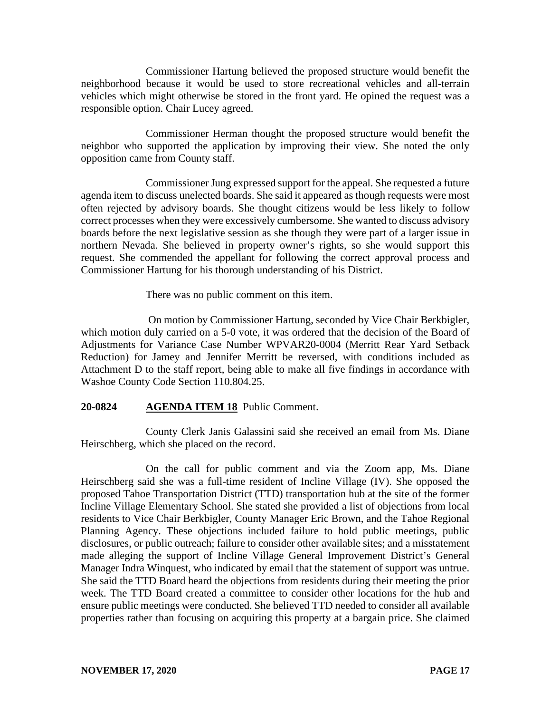Commissioner Hartung believed the proposed structure would benefit the neighborhood because it would be used to store recreational vehicles and all-terrain vehicles which might otherwise be stored in the front yard. He opined the request was a responsible option. Chair Lucey agreed.

Commissioner Herman thought the proposed structure would benefit the neighbor who supported the application by improving their view. She noted the only opposition came from County staff.

Commissioner Jung expressed support for the appeal. She requested a future agenda item to discuss unelected boards. She said it appeared as though requests were most often rejected by advisory boards. She thought citizens would be less likely to follow correct processes when they were excessively cumbersome. She wanted to discuss advisory boards before the next legislative session as she though they were part of a larger issue in northern Nevada. She believed in property owner's rights, so she would support this request. She commended the appellant for following the correct approval process and Commissioner Hartung for his thorough understanding of his District.

There was no public comment on this item.

On motion by Commissioner Hartung, seconded by Vice Chair Berkbigler, which motion duly carried on a 5-0 vote, it was ordered that the decision of the Board of Adjustments for Variance Case Number WPVAR20-0004 (Merritt Rear Yard Setback Reduction) for Jamey and Jennifer Merritt be reversed, with conditions included as Attachment D to the staff report, being able to make all five findings in accordance with Washoe County Code Section 110.804.25.

# **20-0824 AGENDA ITEM 18** Public Comment.

County Clerk Janis Galassini said she received an email from Ms. Diane Heirschberg, which she placed on the record.

On the call for public comment and via the Zoom app, Ms. Diane Heirschberg said she was a full-time resident of Incline Village (IV). She opposed the proposed Tahoe Transportation District (TTD) transportation hub at the site of the former Incline Village Elementary School. She stated she provided a list of objections from local residents to Vice Chair Berkbigler, County Manager Eric Brown, and the Tahoe Regional Planning Agency. These objections included failure to hold public meetings, public disclosures, or public outreach; failure to consider other available sites; and a misstatement made alleging the support of Incline Village General Improvement District's General Manager Indra Winquest, who indicated by email that the statement of support was untrue. She said the TTD Board heard the objections from residents during their meeting the prior week. The TTD Board created a committee to consider other locations for the hub and ensure public meetings were conducted. She believed TTD needed to consider all available properties rather than focusing on acquiring this property at a bargain price. She claimed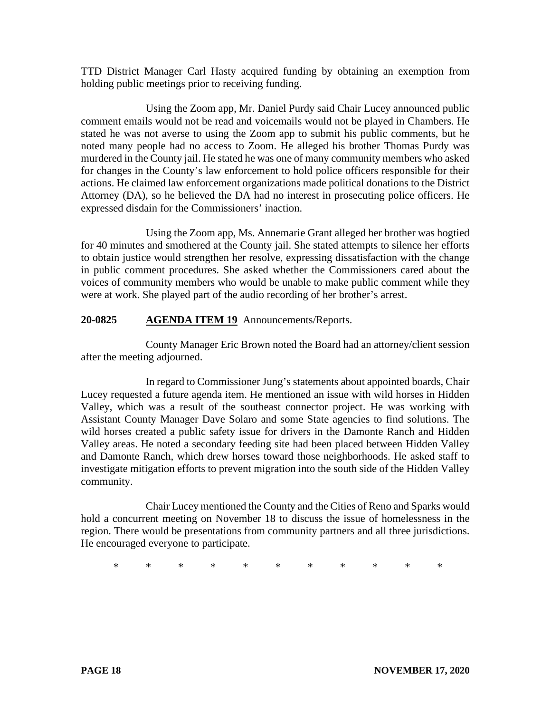TTD District Manager Carl Hasty acquired funding by obtaining an exemption from holding public meetings prior to receiving funding.

Using the Zoom app, Mr. Daniel Purdy said Chair Lucey announced public comment emails would not be read and voicemails would not be played in Chambers. He stated he was not averse to using the Zoom app to submit his public comments, but he noted many people had no access to Zoom. He alleged his brother Thomas Purdy was murdered in the County jail. He stated he was one of many community members who asked for changes in the County's law enforcement to hold police officers responsible for their actions. He claimed law enforcement organizations made political donations to the District Attorney (DA), so he believed the DA had no interest in prosecuting police officers. He expressed disdain for the Commissioners' inaction.

Using the Zoom app, Ms. Annemarie Grant alleged her brother was hogtied for 40 minutes and smothered at the County jail. She stated attempts to silence her efforts to obtain justice would strengthen her resolve, expressing dissatisfaction with the change in public comment procedures. She asked whether the Commissioners cared about the voices of community members who would be unable to make public comment while they were at work. She played part of the audio recording of her brother's arrest.

# **20-0825 AGENDA ITEM 19** Announcements/Reports.

County Manager Eric Brown noted the Board had an attorney/client session after the meeting adjourned.

In regard to Commissioner Jung's statements about appointed boards, Chair Lucey requested a future agenda item. He mentioned an issue with wild horses in Hidden Valley, which was a result of the southeast connector project. He was working with Assistant County Manager Dave Solaro and some State agencies to find solutions. The wild horses created a public safety issue for drivers in the Damonte Ranch and Hidden Valley areas. He noted a secondary feeding site had been placed between Hidden Valley and Damonte Ranch, which drew horses toward those neighborhoods. He asked staff to investigate mitigation efforts to prevent migration into the south side of the Hidden Valley community.

Chair Lucey mentioned the County and the Cities of Reno and Sparks would hold a concurrent meeting on November 18 to discuss the issue of homelessness in the region. There would be presentations from community partners and all three jurisdictions. He encouraged everyone to participate.

\* \* \* \* \* \* \* \* \* \* \*